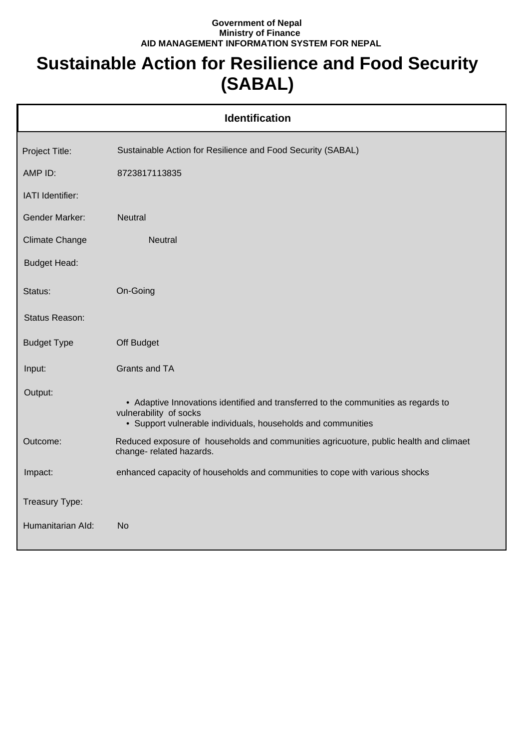## **Government of Nepal Ministry of Finance AID MANAGEMENT INFORMATION SYSTEM FOR NEPAL**

## **Sustainable Action for Resilience and Food Security (SABAL)**

| <b>Identification</b> |                                                                                                                                                                              |  |
|-----------------------|------------------------------------------------------------------------------------------------------------------------------------------------------------------------------|--|
| Project Title:        | Sustainable Action for Resilience and Food Security (SABAL)                                                                                                                  |  |
| AMP ID:               | 8723817113835                                                                                                                                                                |  |
| IATI Identifier:      |                                                                                                                                                                              |  |
| <b>Gender Marker:</b> | <b>Neutral</b>                                                                                                                                                               |  |
| <b>Climate Change</b> | Neutral                                                                                                                                                                      |  |
| <b>Budget Head:</b>   |                                                                                                                                                                              |  |
| Status:               | On-Going                                                                                                                                                                     |  |
| Status Reason:        |                                                                                                                                                                              |  |
| <b>Budget Type</b>    | Off Budget                                                                                                                                                                   |  |
| Input:                | Grants and TA                                                                                                                                                                |  |
| Output:               | • Adaptive Innovations identified and transferred to the communities as regards to<br>vulnerability of socks<br>• Support vulnerable individuals, households and communities |  |
| Outcome:              | Reduced exposure of households and communities agricuoture, public health and climaet<br>change- related hazards.                                                            |  |
| Impact:               | enhanced capacity of households and communities to cope with various shocks                                                                                                  |  |
| Treasury Type:        |                                                                                                                                                                              |  |
| Humanitarian Ald:     | <b>No</b>                                                                                                                                                                    |  |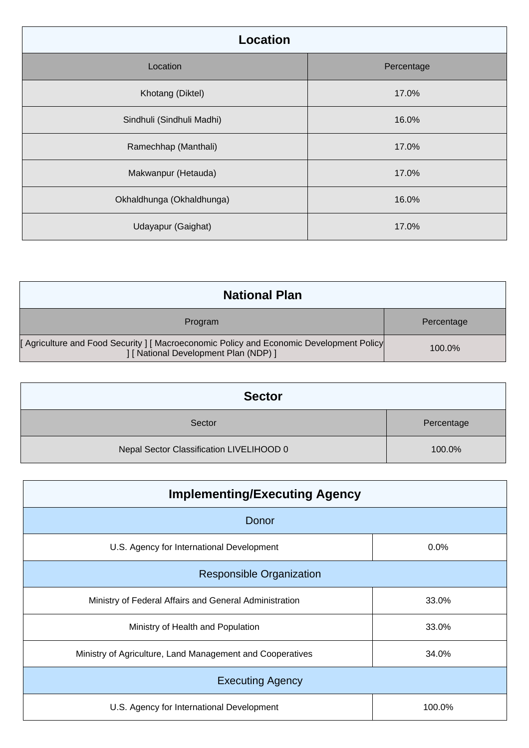| Location                  |            |
|---------------------------|------------|
| Location                  | Percentage |
| Khotang (Diktel)          | 17.0%      |
| Sindhuli (Sindhuli Madhi) | 16.0%      |
| Ramechhap (Manthali)      | 17.0%      |
| Makwanpur (Hetauda)       | 17.0%      |
| Okhaldhunga (Okhaldhunga) | 16.0%      |
| Udayapur (Gaighat)        | 17.0%      |

| <b>National Plan</b>                                                                                                            |            |
|---------------------------------------------------------------------------------------------------------------------------------|------------|
| Program                                                                                                                         | Percentage |
| [Agriculture and Food Security ] [Macroeconomic Policy and Economic Development Policy<br>] [ National Development Plan (NDP) ] | $100.0\%$  |

| <b>Sector</b>                            |            |
|------------------------------------------|------------|
| Sector                                   | Percentage |
| Nepal Sector Classification LIVELIHOOD 0 | 100.0%     |

| <b>Implementing/Executing Agency</b>                      |        |  |
|-----------------------------------------------------------|--------|--|
| Donor                                                     |        |  |
| U.S. Agency for International Development                 | 0.0%   |  |
| <b>Responsible Organization</b>                           |        |  |
| Ministry of Federal Affairs and General Administration    | 33.0%  |  |
| Ministry of Health and Population                         | 33.0%  |  |
| Ministry of Agriculture, Land Management and Cooperatives | 34.0%  |  |
| <b>Executing Agency</b>                                   |        |  |
| U.S. Agency for International Development                 | 100.0% |  |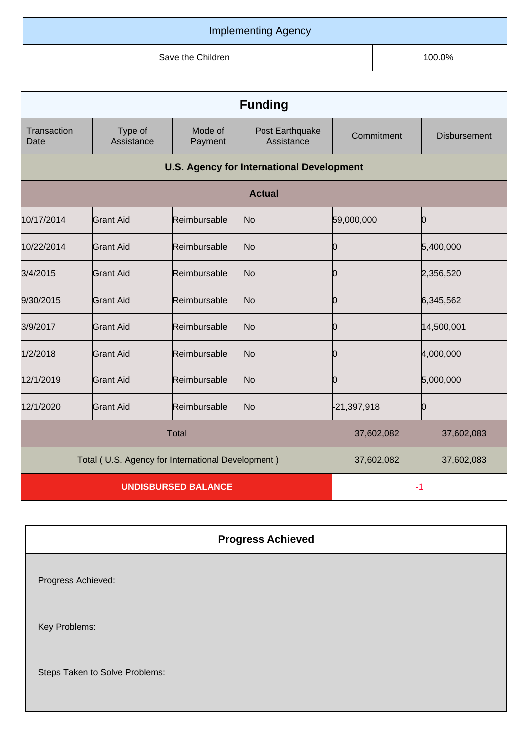## Implementing Agency

Save the Children **100.0%** Save the Children **100.0%** 

| <b>Funding</b>                                    |                       |                    |                               |               |                     |
|---------------------------------------------------|-----------------------|--------------------|-------------------------------|---------------|---------------------|
| Transaction<br>Date                               | Type of<br>Assistance | Mode of<br>Payment | Post Earthquake<br>Assistance | Commitment    | <b>Disbursement</b> |
| <b>U.S. Agency for International Development</b>  |                       |                    |                               |               |                     |
| <b>Actual</b>                                     |                       |                    |                               |               |                     |
| 10/17/2014                                        | <b>Grant Aid</b>      | Reimbursable       | No                            | 59,000,000    | Ю                   |
| 10/22/2014                                        | <b>Grant Aid</b>      | Reimbursable       | No                            | 0             | 5,400,000           |
| 3/4/2015                                          | Grant Aid             | Reimbursable       | No                            | О             | 2,356,520           |
| 9/30/2015                                         | <b>Grant Aid</b>      | Reimbursable       | No                            | 10            | 6,345,562           |
| 3/9/2017                                          | <b>Grant Aid</b>      | Reimbursable       | No                            | Ю             | 14,500,001          |
| 1/2/2018                                          | <b>Grant Aid</b>      | Reimbursable       | No                            | 10            | 4,000,000           |
| 12/1/2019                                         | <b>Grant Aid</b>      | Reimbursable       | No                            | 0             | 5,000,000           |
| 12/1/2020                                         | <b>Grant Aid</b>      | Reimbursable       | No                            | $-21,397,918$ | Ю                   |
| <b>Total</b>                                      |                       |                    | 37,602,082                    | 37,602,083    |                     |
| Total (U.S. Agency for International Development) |                       |                    | 37,602,082                    | 37,602,083    |                     |
| <b>UNDISBURSED BALANCE</b>                        |                       |                    | $-1$                          |               |                     |

| <b>Progress Achieved</b>       |
|--------------------------------|
| Progress Achieved:             |
| Key Problems:                  |
| Steps Taken to Solve Problems: |